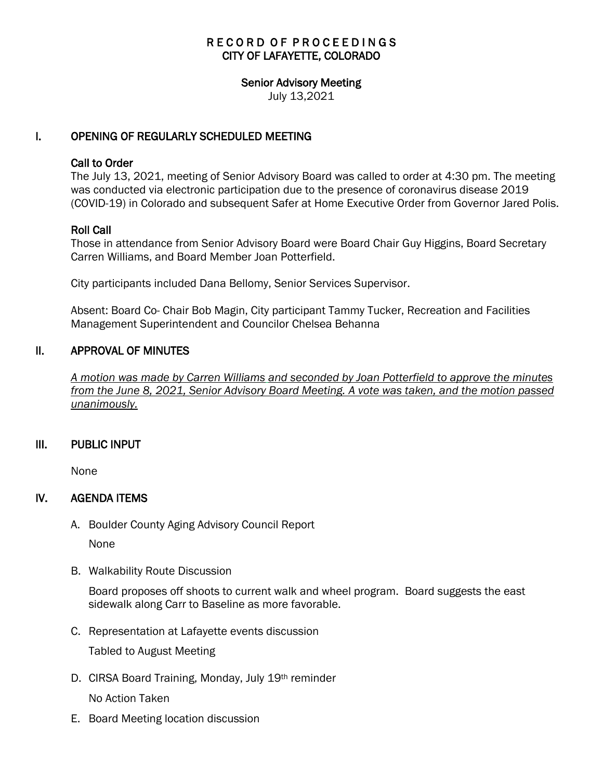# RECORD OF PROCEEDINGS CITY OF LAFAYETTE, COLORADO

# Senior Advisory Meeting

July 13,2021

# I. OPENING OF REGULARLY SCHEDULED MEETING

#### Call to Order

The July 13, 2021, meeting of Senior Advisory Board was called to order at 4:30 pm. The meeting was conducted via electronic participation due to the presence of coronavirus disease 2019 (COVID-19) in Colorado and subsequent Safer at Home Executive Order from Governor Jared Polis.

# Roll Call

Those in attendance from Senior Advisory Board were Board Chair Guy Higgins, Board Secretary Carren Williams, and Board Member Joan Potterfield.

City participants included Dana Bellomy, Senior Services Supervisor.

Absent: Board Co- Chair Bob Magin, City participant Tammy Tucker, Recreation and Facilities Management Superintendent and Councilor Chelsea Behanna

# II. APPROVAL OF MINUTES

 *A motion was made by Carren Williams and seconded by Joan Potterfield to approve the minutes from the June 8, 2021, Senior Advisory Board Meeting. A vote was taken, and the motion passed unanimously.*

# III. PUBLIC INPUT

None

# IV. AGENDA ITEMS

A. Boulder County Aging Advisory Council Report

None

B. Walkability Route Discussion

Board proposes off shoots to current walk and wheel program. Board suggests the east sidewalk along Carr to Baseline as more favorable.

C. Representation at Lafayette events discussion

Tabled to August Meeting

D. CIRSA Board Training, Monday, July 19th reminder

No Action Taken

E. Board Meeting location discussion